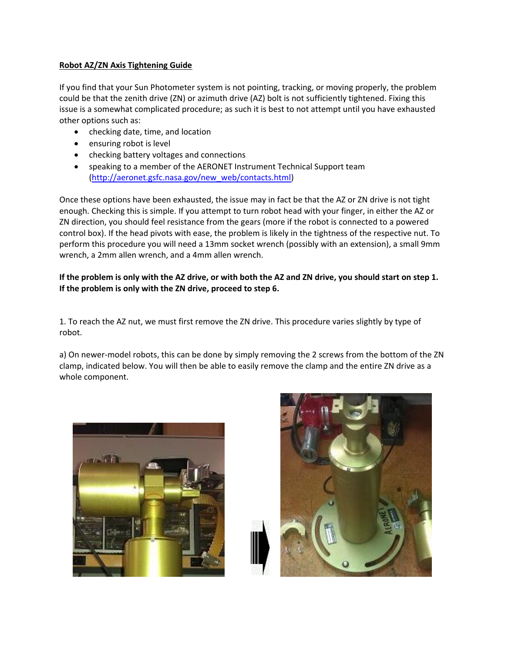## **Robot AZ/ZN Axis Tightening Guide**

If you find that your Sun Photometer system is not pointing, tracking, or moving properly, the problem could be that the zenith drive (ZN) or azimuth drive (AZ) bolt is not sufficiently tightened. Fixing this issue is a somewhat complicated procedure; as such it is best to not attempt until you have exhausted other options such as:

- checking date, time, and location
- ensuring robot is level
- checking battery voltages and connections
- speaking to a member of the AERONET Instrument Technical Support team [\(http://aeronet.gsfc.nasa.gov/new\\_web/contacts.html\)](http://aeronet.gsfc.nasa.gov/new_web/contacts.html)

Once these options have been exhausted, the issue may in fact be that the AZ or ZN drive is not tight enough. Checking this is simple. If you attempt to turn robot head with your finger, in either the AZ or ZN direction, you should feel resistance from the gears (more if the robot is connected to a powered control box). If the head pivots with ease, the problem is likely in the tightness of the respective nut. To perform this procedure you will need a 13mm socket wrench (possibly with an extension), a small 9mm wrench, a 2mm allen wrench, and a 4mm allen wrench.

## **If the problem is only with the AZ drive, or with both the AZ and ZN drive, you should start on step 1. If the problem is only with the ZN drive, proceed to step 6.**

1. To reach the AZ nut, we must first remove the ZN drive. This procedure varies slightly by type of robot.

a) On newer-model robots, this can be done by simply removing the 2 screws from the bottom of the ZN clamp, indicated below. You will then be able to easily remove the clamp and the entire ZN drive as a whole component.



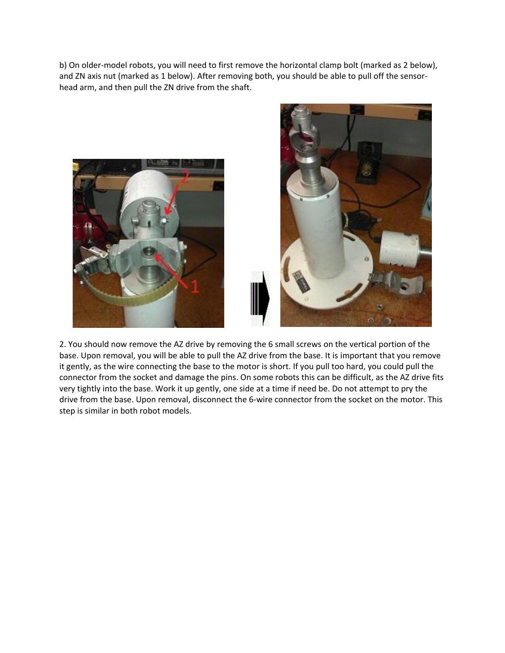b) On older-model robots, you will need to first remove the horizontal clamp bolt (marked as 2 below), and ZN axis nut (marked as 1 below). After removing both, you should be able to pull off the sensorhead arm, and then pull the ZN drive from the shaft.





2. You should now remove the AZ drive by removing the 6 small screws on the vertical portion of the base. Upon removal, you will be able to pull the AZ drive from the base. It is important that you remove it gently, as the wire connecting the base to the motor is short. If you pull too hard, you could pull the connector from the socket and damage the pins. On some robots this can be difficult, as the AZ drive fits very tightly into the base. Work it up gently, one side at a time if need be. Do not attempt to pry the drive from the base. Upon removal, disconnect the 6-wire connector from the socket on the motor. This step is similar in both robot models.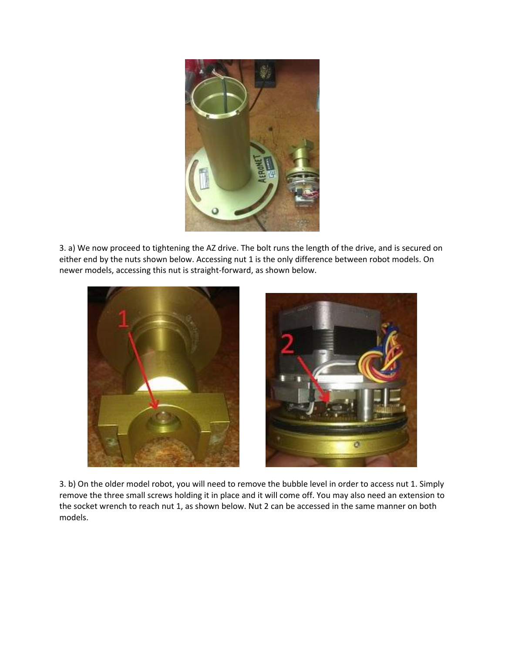

3. a) We now proceed to tightening the AZ drive. The bolt runs the length of the drive, and is secured on either end by the nuts shown below. Accessing nut 1 is the only difference between robot models. On newer models, accessing this nut is straight-forward, as shown below.



3. b) On the older model robot, you will need to remove the bubble level in order to access nut 1. Simply remove the three small screws holding it in place and it will come off. You may also need an extension to the socket wrench to reach nut 1, as shown below. Nut 2 can be accessed in the same manner on both models.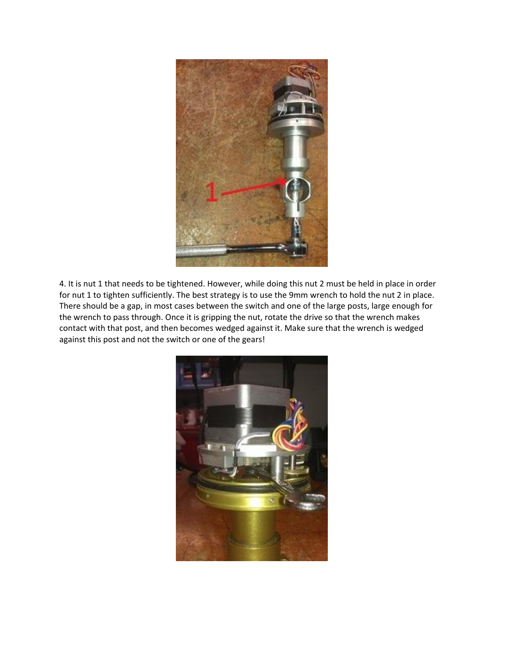

4. It is nut 1 that needs to be tightened. However, while doing this nut 2 must be held in place in order for nut 1 to tighten sufficiently. The best strategy is to use the 9mm wrench to hold the nut 2 in place. There should be a gap, in most cases between the switch and one of the large posts, large enough for the wrench to pass through. Once it is gripping the nut, rotate the drive so that the wrench makes contact with that post, and then becomes wedged against it. Make sure that the wrench is wedged against this post and not the switch or one of the gears!

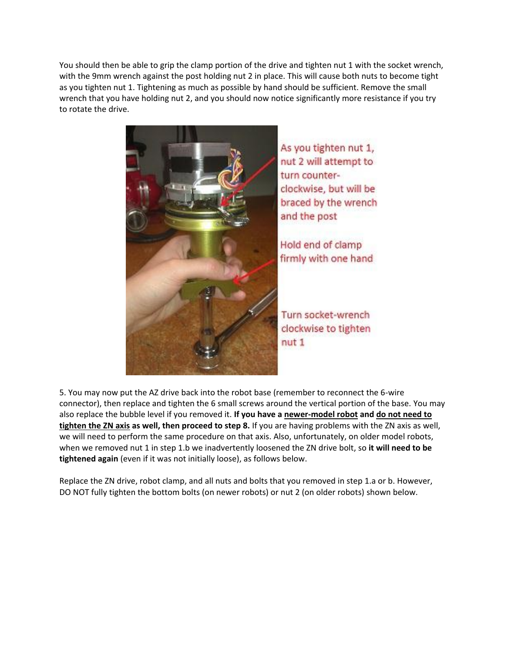You should then be able to grip the clamp portion of the drive and tighten nut 1 with the socket wrench, with the 9mm wrench against the post holding nut 2 in place. This will cause both nuts to become tight as you tighten nut 1. Tightening as much as possible by hand should be sufficient. Remove the small wrench that you have holding nut 2, and you should now notice significantly more resistance if you try to rotate the drive.



As you tighten nut 1, nut 2 will attempt to turn counterclockwise, but will be braced by the wrench and the post

Hold end of clamp firmly with one hand

Turn socket-wrench clockwise to tighten

5. You may now put the AZ drive back into the robot base (remember to reconnect the 6-wire connector), then replace and tighten the 6 small screws around the vertical portion of the base. You may also replace the bubble level if you removed it. **If you have a newer-model robot and do not need to tighten the ZN axis as well, then proceed to step 8.** If you are having problems with the ZN axis as well, we will need to perform the same procedure on that axis. Also, unfortunately, on older model robots, when we removed nut 1 in step 1.b we inadvertently loosened the ZN drive bolt, so **it will need to be tightened again** (even if it was not initially loose), as follows below.

Replace the ZN drive, robot clamp, and all nuts and bolts that you removed in step 1.a or b. However, DO NOT fully tighten the bottom bolts (on newer robots) or nut 2 (on older robots) shown below.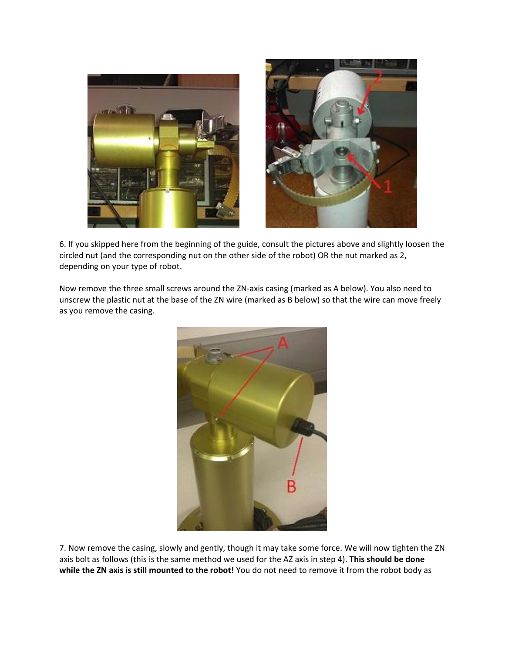

6. If you skipped here from the beginning of the guide, consult the pictures above and slightly loosen the circled nut (and the corresponding nut on the other side of the robot) OR the nut marked as 2, depending on your type of robot.

Now remove the three small screws around the ZN-axis casing (marked as A below). You also need to unscrew the plastic nut at the base of the ZN wire (marked as B below) so that the wire can move freely as you remove the casing.



7. Now remove the casing, slowly and gently, though it may take some force. We will now tighten the ZN axis bolt as follows (this is the same method we used for the AZ axis in step 4). **This should be done while the ZN axis is still mounted to the robot!** You do not need to remove it from the robot body as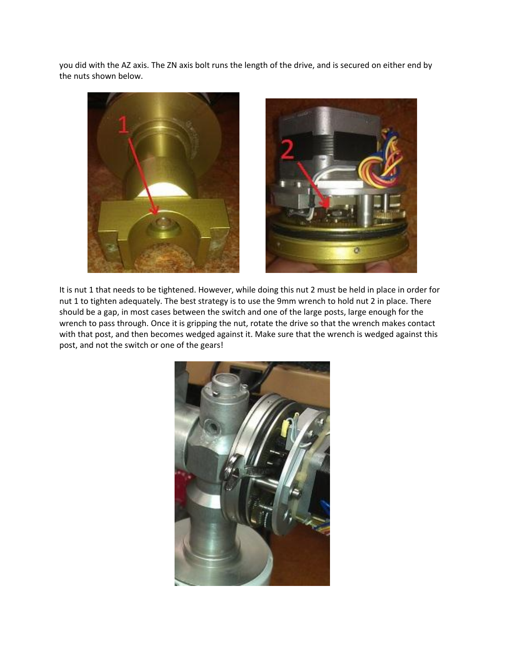you did with the AZ axis. The ZN axis bolt runs the length of the drive, and is secured on either end by the nuts shown below.



It is nut 1 that needs to be tightened. However, while doing this nut 2 must be held in place in order for nut 1 to tighten adequately. The best strategy is to use the 9mm wrench to hold nut 2 in place. There should be a gap, in most cases between the switch and one of the large posts, large enough for the wrench to pass through. Once it is gripping the nut, rotate the drive so that the wrench makes contact with that post, and then becomes wedged against it. Make sure that the wrench is wedged against this post, and not the switch or one of the gears!

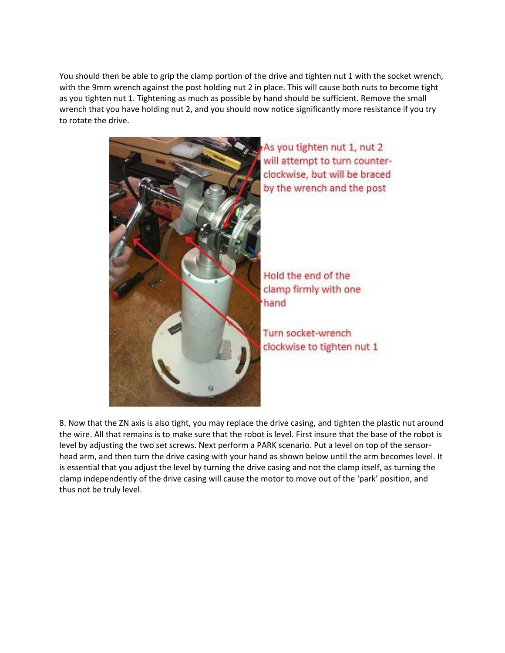You should then be able to grip the clamp portion of the drive and tighten nut 1 with the socket wrench, with the 9mm wrench against the post holding nut 2 in place. This will cause both nuts to become tight as you tighten nut 1. Tightening as much as possible by hand should be sufficient. Remove the small wrench that you have holding nut 2, and you should now notice significantly more resistance if you try to rotate the drive.



As you tighten nut 1, nut 2 will attempt to turn counterclockwise, but will be braced by the wrench and the post

Hold the end of the clamp firmly with one hand

Turn socket-wrench clockwise to tighten nut 1

8. Now that the ZN axis is also tight, you may replace the drive casing, and tighten the plastic nut around the wire. All that remains is to make sure that the robot is level. First insure that the base of the robot is level by adjusting the two set screws. Next perform a PARK scenario. Put a level on top of the sensorhead arm, and then turn the drive casing with your hand as shown below until the arm becomes level. It is essential that you adjust the level by turning the drive casing and not the clamp itself, as turning the clamp independently of the drive casing will cause the motor to move out of the 'park' position, and thus not be truly level.